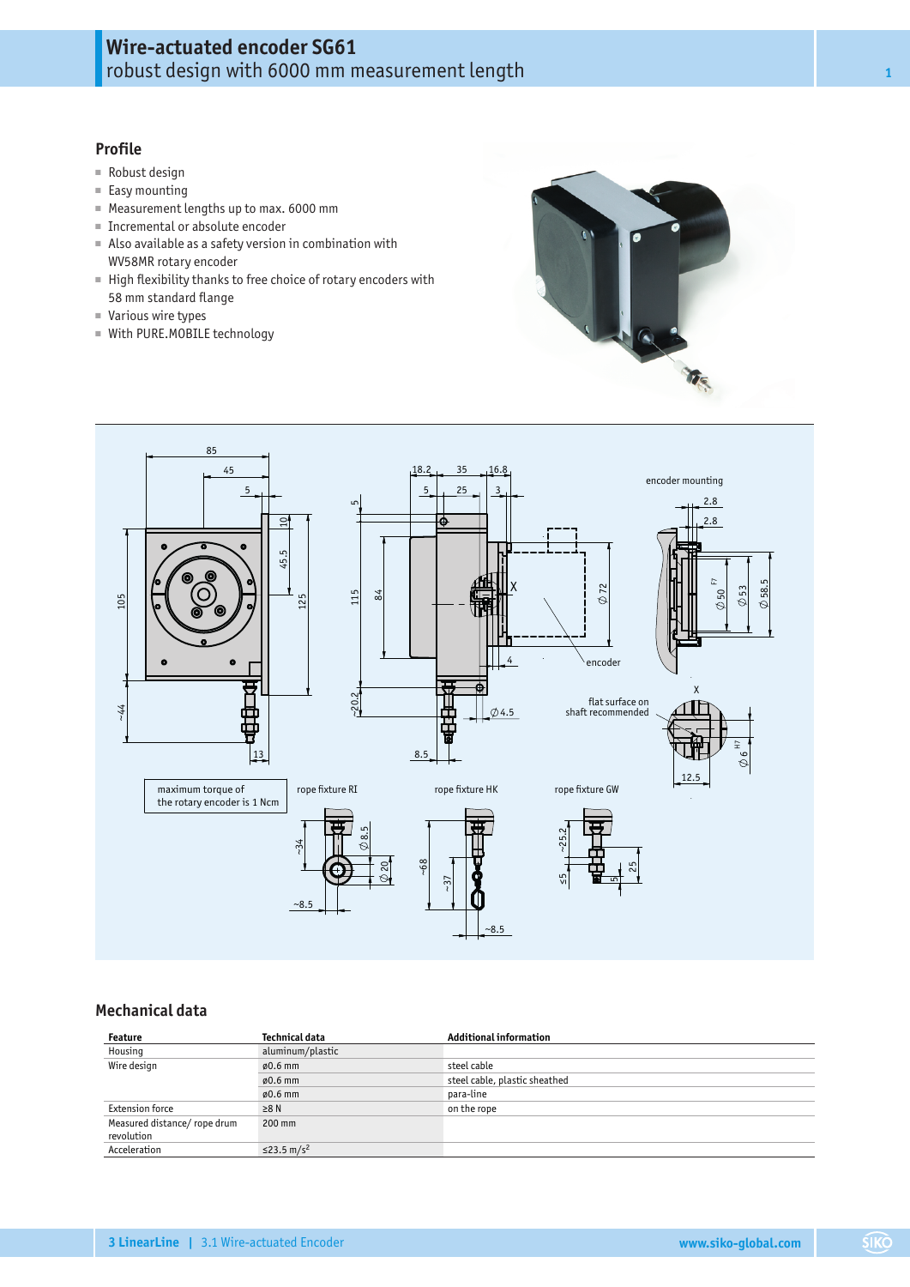# **Wire-actuated encoder SG61** robust design with 6000 mm measurement length **<sup>1</sup>**

# **Profile**

- Robust design
- Easy mounting
- Measurement lengths up to max. 6000 mm
- Incremental or absolute encoder
- Also available as a safety version in combination with WV58MR rotary encoder
- High flexibility thanks to free choice of rotary encoders with 58 mm standard flange
- Various wire types
- With PURE.MOBILE technology





# **Mechanical data**

| Feature                                   | Technical data         | <b>Additional information</b> |  |  |  |  |
|-------------------------------------------|------------------------|-------------------------------|--|--|--|--|
| Housing                                   | aluminum/plastic       |                               |  |  |  |  |
| Wire design                               | $\varphi$ 0.6 mm       | steel cable                   |  |  |  |  |
|                                           | $\varphi$ 0.6 mm       | steel cable, plastic sheathed |  |  |  |  |
|                                           | $\varphi$ 0.6 mm       | para-line                     |  |  |  |  |
| <b>Extension force</b>                    | $\geq 8$ N             | on the rope                   |  |  |  |  |
| Measured distance/rope drum<br>revolution | $200$ mm               |                               |  |  |  |  |
| Acceleration                              | ≤23.5 m/s <sup>2</sup> |                               |  |  |  |  |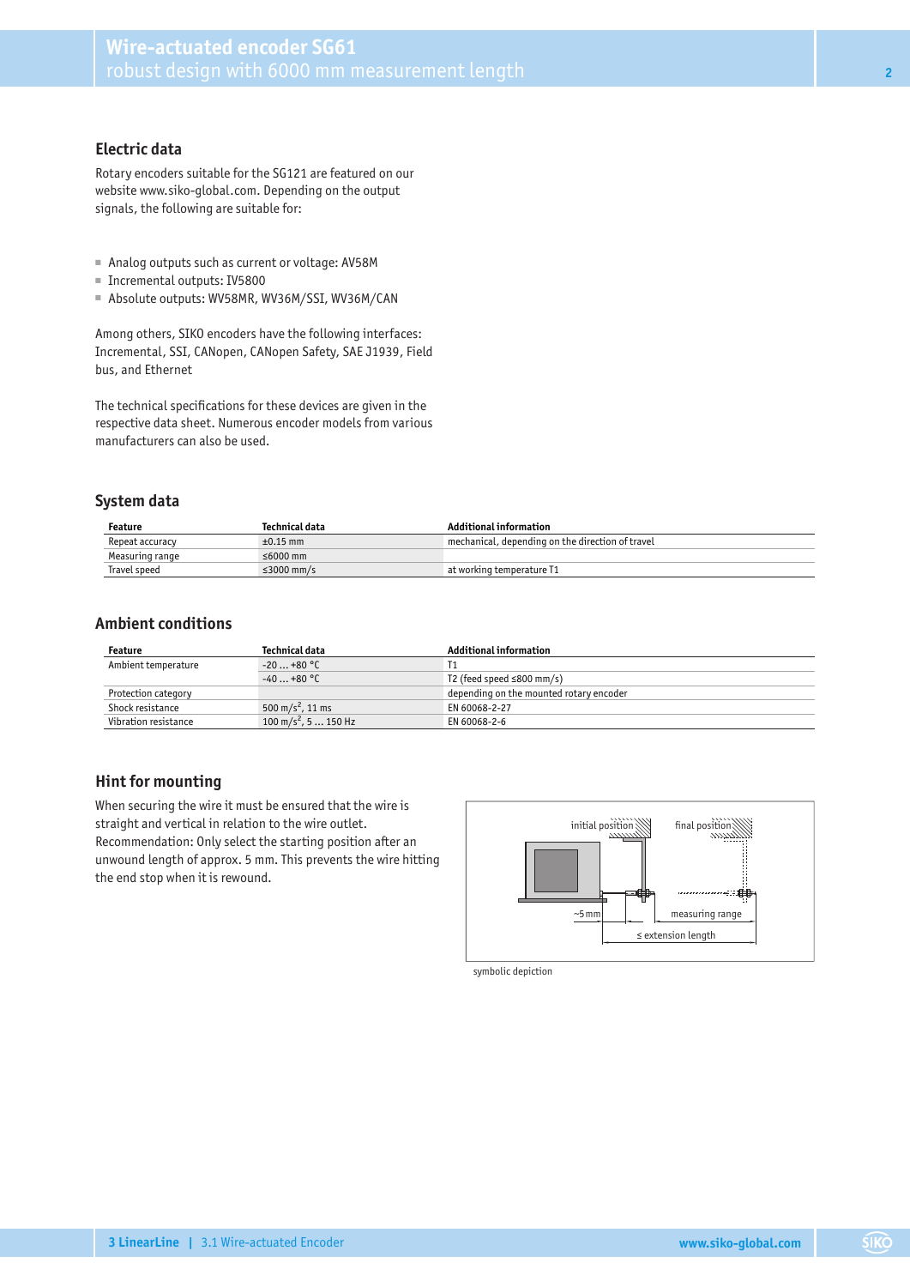## **Electric data**

Rotary encoders suitable for the SG121 are featured on our website www.siko-global.com. Depending on the output signals, the following are suitable for:

- Analog outputs such as current or voltage: AV58M
- Incremental outputs: IV5800
- Absolute outputs: WV58MR, WV36M/SSI, WV36M/CAN

Among others, SIKO encoders have the following interfaces: Incremental, SSI, CANopen, CANopen Safety, SAE J1939, Field bus, and Ethernet

The technical specifications for these devices are given in the respective data sheet. Numerous encoder models from various manufacturers can also be used.

#### **System data**

| Feature         | Technical data | Additional information                           |
|-----------------|----------------|--------------------------------------------------|
| Repeat accuracy | $\pm 0.15$ mm  | mechanical, depending on the direction of travel |
| Measuring range | ≤6000 mm       |                                                  |
| Travel speed    | ≤3000 mm/s     | at working temperature T1                        |

#### **Ambient conditions**

| Feature              | Technical data                  | Additional information                  |  |  |  |  |
|----------------------|---------------------------------|-----------------------------------------|--|--|--|--|
| Ambient temperature  | $-20+80 °C$                     |                                         |  |  |  |  |
|                      | $-40+80$ °C                     | T2 (feed speed $\leq$ 800 mm/s)         |  |  |  |  |
| Protection category  |                                 | depending on the mounted rotary encoder |  |  |  |  |
| Shock resistance     | 500 m/s <sup>2</sup> , 11 ms    | EN 60068-2-27                           |  |  |  |  |
| Vibration resistance | $100 \text{ m/s}^2$ , 5  150 Hz | EN 60068-2-6                            |  |  |  |  |

## **Hint for mounting**

When securing the wire it must be ensured that the wire is straight and vertical in relation to the wire outlet. Recommendation: Only select the starting position after an unwound length of approx. 5 mm. This prevents the wire hitting the end stop when it is rewound.



symbolic depiction